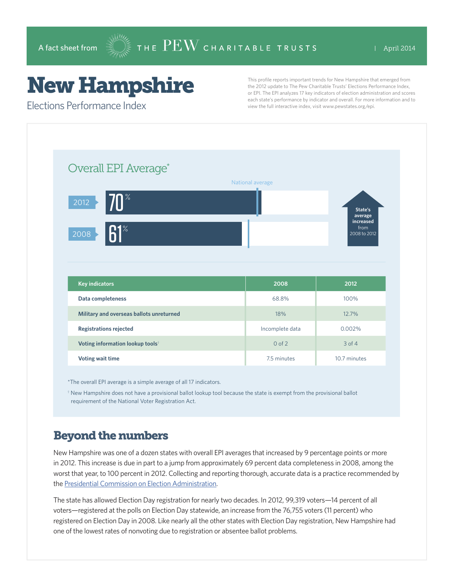# New Hampshire

This profile reports important trends for New Hampshire that emerged from the 2012 update to The Pew Charitable Trusts' Elections Performance Index, or EPI. The EPI analyzes 17 key indicators of election administration and scores each state's performance by indicator and overall. For more information and to view the full interactive index, visit www.pewstates.org/epi.

Elections Performance Index

| Overall EPI Average*                            | National average |                                                         |
|-------------------------------------------------|------------------|---------------------------------------------------------|
| 70 <sup>°</sup><br>2012<br>$R1^{\circ}$<br>2008 |                  | State's<br>average<br>increased<br>from<br>2008 to 2012 |
|                                                 |                  |                                                         |
| <b>Key indicators</b>                           | 2008             | 2012                                                    |
| Data completeness                               | 68.8%            | 100%                                                    |
| Military and overseas ballots unreturned        | 18%              | 12.7%                                                   |
| <b>Registrations rejected</b>                   | Incomplete data  | 0.002%                                                  |
| Voting information lookup tools <sup>†</sup>    | $0$ of $2$       | $3$ of $4$                                              |

\*The overall EPI average is a simple average of all 17 indicators.

† New Hampshire does not have a provisional ballot lookup tool because the state is exempt from the provisional ballot requirement of the National Voter Registration Act.

### Beyond the numbers

New Hampshire was one of a dozen states with overall EPI averages that increased by 9 percentage points or more in 2012. This increase is due in part to a jump from approximately 69 percent data completeness in 2008, among the worst that year, to 100 percent in 2012. Collecting and reporting thorough, accurate data is a practice recommended by the [Presidential Commission on Election Administration.](https://www.supportthevoter.gov)

The state has allowed Election Day registration for nearly two decades. In 2012, 99,319 voters—14 percent of all voters—registered at the polls on Election Day statewide, an increase from the 76,755 voters (11 percent) who registered on Election Day in 2008. Like nearly all the other states with Election Day registration, New Hampshire had one of the lowest rates of nonvoting due to registration or absentee ballot problems.